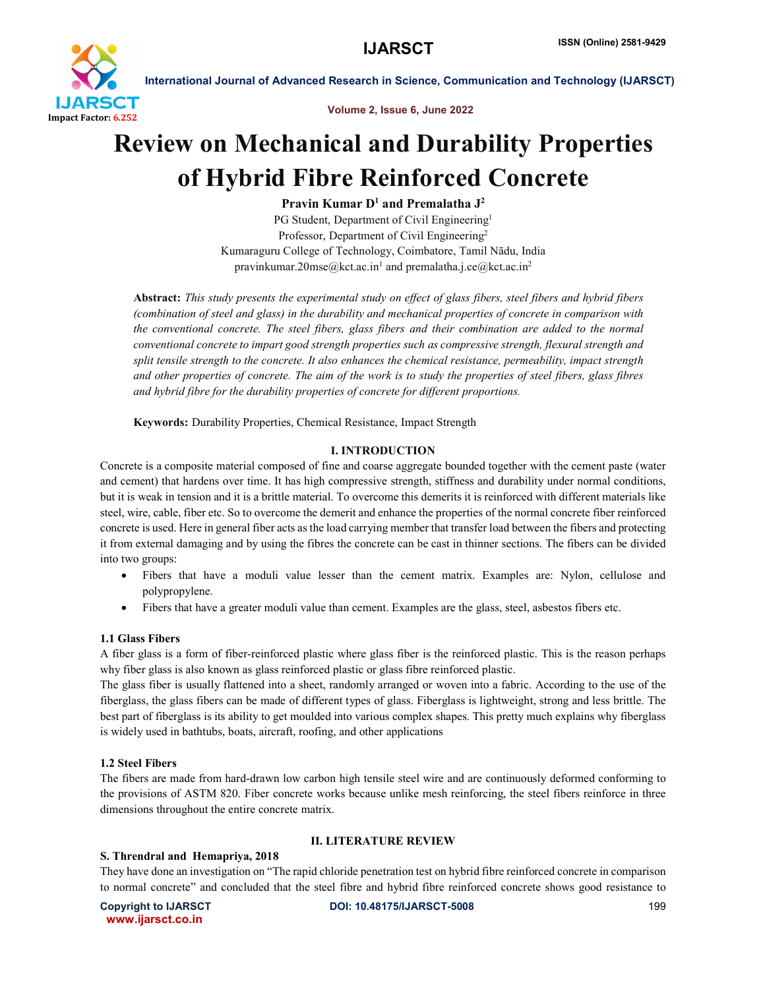

Volume 2, Issue 6, June 2022

# Review on Mechanical and Durability Properties of Hybrid Fibre Reinforced Concrete

Pravin Kumar  $D^1$  and Premalatha  $J^2$ 

PG Student, Department of Civil Engineering<sup>1</sup> Professor, Department of Civil Engineering<sup>2</sup> Kumaraguru College of Technology, Coimbatore, Tamil Nādu, India pravinkumar.20mse@kct.ac.in<sup>1</sup> and premalatha.j.ce@kct.ac.in<sup>2</sup>

Abstract: *This study presents the experimental study on effect of glass fibers, steel fibers and hybrid fibers (combination of steel and glass) in the durability and mechanical properties of concrete in comparison with the conventional concrete. The steel fibers, glass fibers and their combination are added to the normal conventional concrete to impart good strength properties such as compressive strength, flexural strength and split tensile strength to the concrete. It also enhances the chemical resistance, permeability, impact strength and other properties of concrete. The aim of the work is to study the properties of steel fibers, glass fibres and hybrid fibre for the durability properties of concrete for different proportions.*

Keywords: Durability Properties, Chemical Resistance, Impact Strength

# I. INTRODUCTION

Concrete is a composite material composed of fine and coarse aggregate bounded together with the cement paste (water and cement) that hardens over time. It has high compressive strength, stiffness and durability under normal conditions, but it is weak in tension and it is a brittle material. To overcome this demerits it is reinforced with different materials like steel, wire, cable, fiber etc. So to overcome the demerit and enhance the properties of the normal concrete fiber reinforced concrete is used. Here in general fiber acts as the load carrying member that transfer load between the fibers and protecting it from external damaging and by using the fibres the concrete can be cast in thinner sections. The fibers can be divided into two groups:

- Fibers that have a moduli value lesser than the cement matrix. Examples are: Nylon, cellulose and polypropylene.
- Fibers that have a greater moduli value than cement. Examples are the glass, steel, asbestos fibers etc.

# 1.1 Glass Fibers

A fiber glass is a form of fiber-reinforced plastic where glass fiber is the reinforced plastic. This is the reason perhaps why fiber glass is also known as glass reinforced plastic or glass fibre reinforced plastic.

The glass fiber is usually flattened into a sheet, randomly arranged or woven into a fabric. According to the use of the fiberglass, the glass fibers can be made of different types of glass. Fiberglass is lightweight, strong and less brittle. The best part of fiberglass is its ability to get moulded into various complex shapes. This pretty much explains why fiberglass is widely used in bathtubs, boats, aircraft, roofing, and other applications

# 1.2 Steel Fibers

The fibers are made from hard-drawn low carbon high tensile steel wire and are continuously deformed conforming to the provisions of ASTM 820. Fiber concrete works because unlike mesh reinforcing, the steel fibers reinforce in three dimensions throughout the entire concrete matrix.

# II. LITERATURE REVIEW

S. Threndral and Hemapriya, 2018

They have done an investigation on "The rapid chloride penetration test on hybrid fibre reinforced concrete in comparison to normal concrete" and concluded that the steel fibre and hybrid fibre reinforced concrete shows good resistance to

www.ijarsct.co.in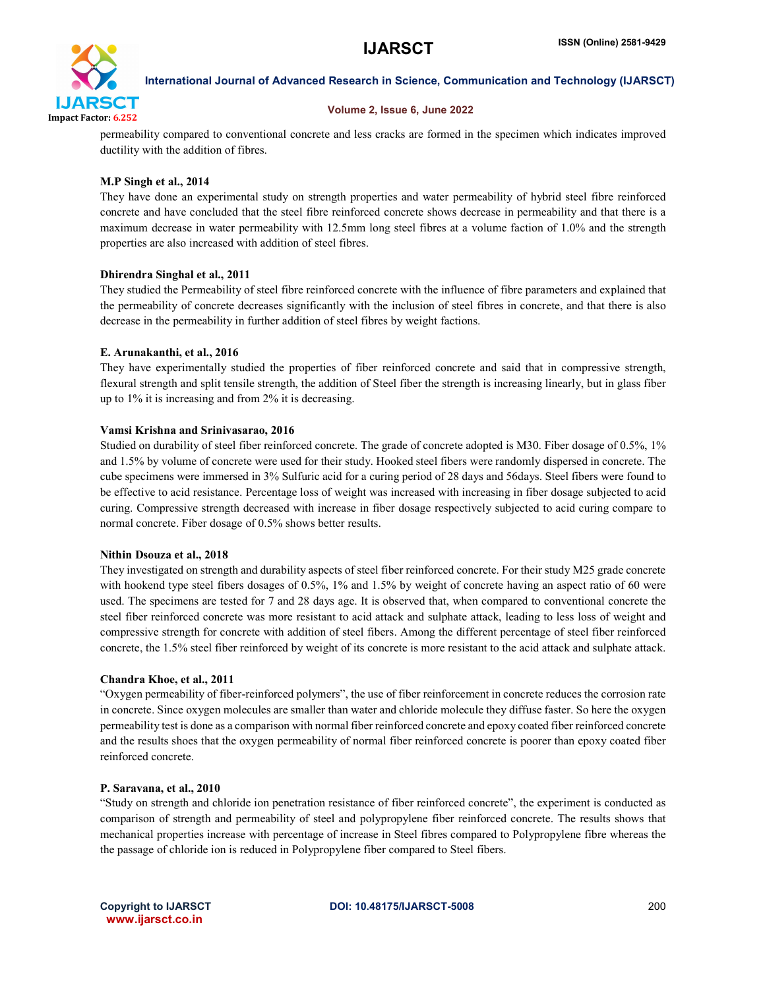

# Volume 2, Issue 6, June 2022

permeability compared to conventional concrete and less cracks are formed in the specimen which indicates improved ductility with the addition of fibres.

# M.P Singh et al., 2014

They have done an experimental study on strength properties and water permeability of hybrid steel fibre reinforced concrete and have concluded that the steel fibre reinforced concrete shows decrease in permeability and that there is a maximum decrease in water permeability with 12.5mm long steel fibres at a volume faction of 1.0% and the strength properties are also increased with addition of steel fibres.

# Dhirendra Singhal et al., 2011

They studied the Permeability of steel fibre reinforced concrete with the influence of fibre parameters and explained that the permeability of concrete decreases significantly with the inclusion of steel fibres in concrete, and that there is also decrease in the permeability in further addition of steel fibres by weight factions.

# E. Arunakanthi, et al., 2016

They have experimentally studied the properties of fiber reinforced concrete and said that in compressive strength, flexural strength and split tensile strength, the addition of Steel fiber the strength is increasing linearly, but in glass fiber up to 1% it is increasing and from 2% it is decreasing.

# Vamsi Krishna and Srinivasarao, 2016

Studied on durability of steel fiber reinforced concrete. The grade of concrete adopted is M30. Fiber dosage of 0.5%, 1% and 1.5% by volume of concrete were used for their study. Hooked steel fibers were randomly dispersed in concrete. The cube specimens were immersed in 3% Sulfuric acid for a curing period of 28 days and 56days. Steel fibers were found to be effective to acid resistance. Percentage loss of weight was increased with increasing in fiber dosage subjected to acid curing. Compressive strength decreased with increase in fiber dosage respectively subjected to acid curing compare to normal concrete. Fiber dosage of 0.5% shows better results.

# Nithin Dsouza et al., 2018

They investigated on strength and durability aspects of steel fiber reinforced concrete. For their study M25 grade concrete with hookend type steel fibers dosages of 0.5%, 1% and 1.5% by weight of concrete having an aspect ratio of 60 were used. The specimens are tested for 7 and 28 days age. It is observed that, when compared to conventional concrete the steel fiber reinforced concrete was more resistant to acid attack and sulphate attack, leading to less loss of weight and compressive strength for concrete with addition of steel fibers. Among the different percentage of steel fiber reinforced concrete, the 1.5% steel fiber reinforced by weight of its concrete is more resistant to the acid attack and sulphate attack.

# Chandra Khoe, et al., 2011

"Oxygen permeability of fiber-reinforced polymers", the use of fiber reinforcement in concrete reduces the corrosion rate in concrete. Since oxygen molecules are smaller than water and chloride molecule they diffuse faster. So here the oxygen permeability test is done as a comparison with normal fiber reinforced concrete and epoxy coated fiber reinforced concrete and the results shoes that the oxygen permeability of normal fiber reinforced concrete is poorer than epoxy coated fiber reinforced concrete.

# P. Saravana, et al., 2010

"Study on strength and chloride ion penetration resistance of fiber reinforced concrete", the experiment is conducted as comparison of strength and permeability of steel and polypropylene fiber reinforced concrete. The results shows that mechanical properties increase with percentage of increase in Steel fibres compared to Polypropylene fibre whereas the the passage of chloride ion is reduced in Polypropylene fiber compared to Steel fibers.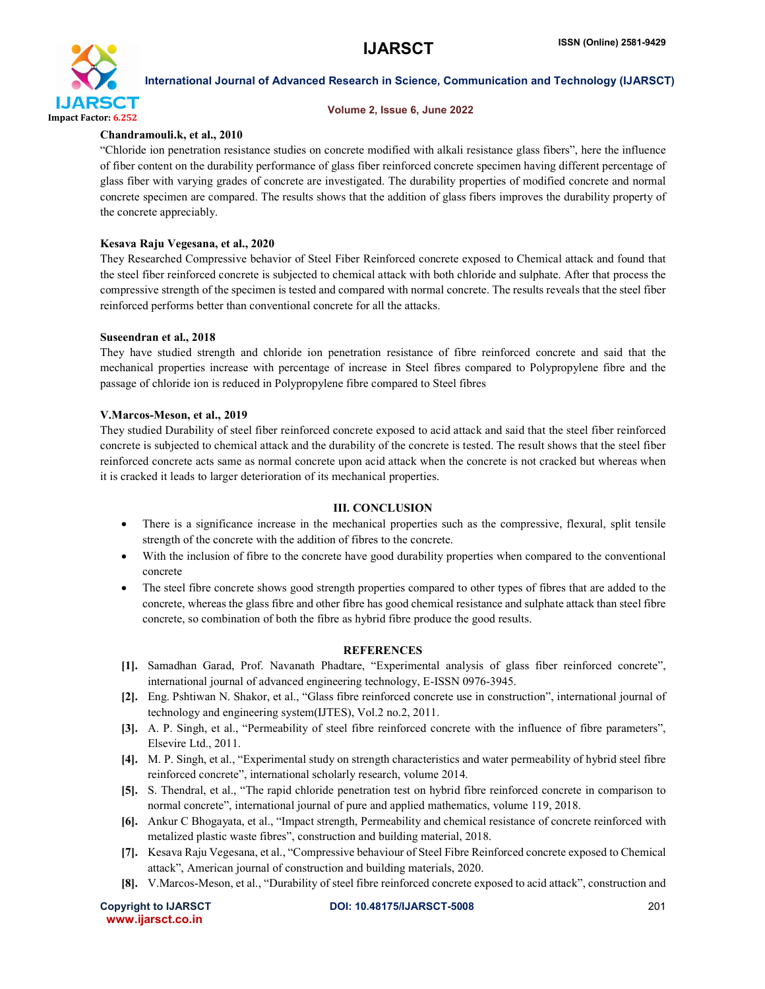

### Volume 2, Issue 6, June 2022

# Chandramouli.k, et al., 2010

"Chloride ion penetration resistance studies on concrete modified with alkali resistance glass fibers", here the influence of fiber content on the durability performance of glass fiber reinforced concrete specimen having different percentage of glass fiber with varying grades of concrete are investigated. The durability properties of modified concrete and normal concrete specimen are compared. The results shows that the addition of glass fibers improves the durability property of the concrete appreciably.

# Kesava Raju Vegesana, et al., 2020

They Researched Compressive behavior of Steel Fiber Reinforced concrete exposed to Chemical attack and found that the steel fiber reinforced concrete is subjected to chemical attack with both chloride and sulphate. After that process the compressive strength of the specimen is tested and compared with normal concrete. The results reveals that the steel fiber reinforced performs better than conventional concrete for all the attacks.

# Suseendran et al., 2018

They have studied strength and chloride ion penetration resistance of fibre reinforced concrete and said that the mechanical properties increase with percentage of increase in Steel fibres compared to Polypropylene fibre and the passage of chloride ion is reduced in Polypropylene fibre compared to Steel fibres

# V.Marcos-Meson, et al., 2019

They studied Durability of steel fiber reinforced concrete exposed to acid attack and said that the steel fiber reinforced concrete is subjected to chemical attack and the durability of the concrete is tested. The result shows that the steel fiber reinforced concrete acts same as normal concrete upon acid attack when the concrete is not cracked but whereas when it is cracked it leads to larger deterioration of its mechanical properties.

# III. CONCLUSION

- There is a significance increase in the mechanical properties such as the compressive, flexural, split tensile strength of the concrete with the addition of fibres to the concrete.
- With the inclusion of fibre to the concrete have good durability properties when compared to the conventional concrete
- The steel fibre concrete shows good strength properties compared to other types of fibres that are added to the concrete, whereas the glass fibre and other fibre has good chemical resistance and sulphate attack than steel fibre concrete, so combination of both the fibre as hybrid fibre produce the good results.

# **REFERENCES**

- [1]. Samadhan Garad, Prof. Navanath Phadtare, "Experimental analysis of glass fiber reinforced concrete", international journal of advanced engineering technology, E-ISSN 0976-3945.
- [2]. Eng. Pshtiwan N. Shakor, et al., "Glass fibre reinforced concrete use in construction", international journal of technology and engineering system(IJTES), Vol.2 no.2, 2011.
- [3]. A. P. Singh, et al., "Permeability of steel fibre reinforced concrete with the influence of fibre parameters", Elsevire Ltd., 2011.
- [4]. M. P. Singh, et al., "Experimental study on strength characteristics and water permeability of hybrid steel fibre reinforced concrete", international scholarly research, volume 2014.
- [5]. S. Thendral, et al., "The rapid chloride penetration test on hybrid fibre reinforced concrete in comparison to normal concrete", international journal of pure and applied mathematics, volume 119, 2018.
- [6]. Ankur C Bhogayata, et al., "Impact strength, Permeability and chemical resistance of concrete reinforced with metalized plastic waste fibres", construction and building material, 2018.
- [7]. Kesava Raju Vegesana, et al., "Compressive behaviour of Steel Fibre Reinforced concrete exposed to Chemical attack", American journal of construction and building materials, 2020.
- [8]. V.Marcos-Meson, et al., "Durability of steel fibre reinforced concrete exposed to acid attack", construction and